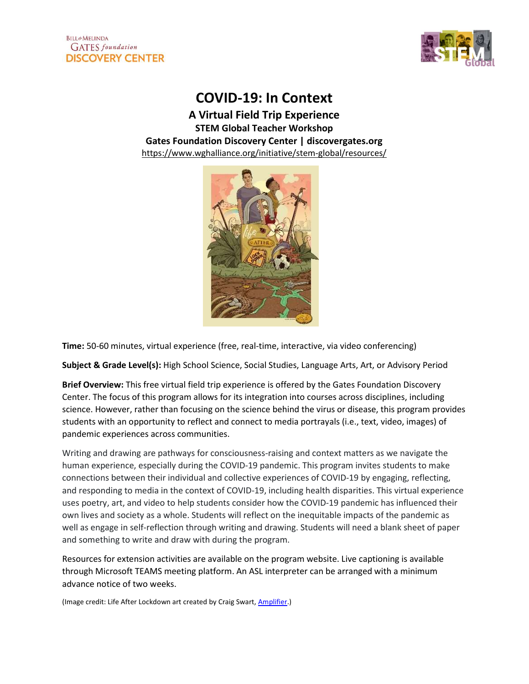

COVID-19: In Context

A Virtual Field Trip Experience STEM Global Teacher Workshop Gates Foundation Discovery Center | discovergates.org https://www.wghalliance.org/initiative/stem-global/resources/



Time: 50-60 minutes, virtual experience (free, real-time, interactive, via video conferencing)

Subject & Grade Level(s): High School Science, Social Studies, Language Arts, Art, or Advisory Period

Brief Overview: This free virtual field trip experience is offered by the Gates Foundation Discovery Center. The focus of this program allows for its integration into courses across disciplines, including science. However, rather than focusing on the science behind the virus or disease, this program provides students with an opportunity to reflect and connect to media portrayals (i.e., text, video, images) of pandemic experiences across communities.

Writing and drawing are pathways for consciousness-raising and context matters as we navigate the human experience, especially during the COVID-19 pandemic. This program invites students to make connections between their individual and collective experiences of COVID-19 by engaging, reflecting, and responding to media in the context of COVID-19, including health disparities. This virtual experience uses poetry, art, and video to help students consider how the COVID-19 pandemic has influenced their own lives and society as a whole. Students will reflect on the inequitable impacts of the pandemic as well as engage in self-reflection through writing and drawing. Students will need a blank sheet of paper and something to write and draw with during the program.

Resources for extension activities are available on the program website. Live captioning is available through Microsoft TEAMS meeting platform. An ASL interpreter can be arranged with a minimum advance notice of two weeks.

(Image credit: Life After Lockdown art created by Craig Swart, Amplifier.)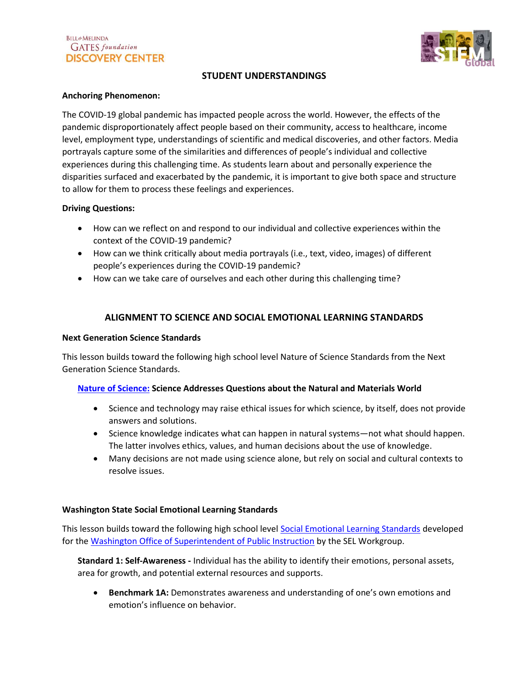

# STUDENT UNDERSTANDINGS

### Anchoring Phenomenon:

The COVID-19 global pandemic has impacted people across the world. However, the effects of the pandemic disproportionately affect people based on their community, access to healthcare, income level, employment type, understandings of scientific and medical discoveries, and other factors. Media portrayals capture some of the similarities and differences of people's individual and collective experiences during this challenging time. As students learn about and personally experience the disparities surfaced and exacerbated by the pandemic, it is important to give both space and structure to allow for them to process these feelings and experiences.

### Driving Questions:

- How can we reflect on and respond to our individual and collective experiences within the context of the COVID-19 pandemic?
- How can we think critically about media portrayals (i.e., text, video, images) of different people's experiences during the COVID-19 pandemic?
- How can we take care of ourselves and each other during this challenging time?

# ALIGNMENT TO SCIENCE AND SOCIAL EMOTIONAL LEARNING STANDARDS

### Next Generation Science Standards

This lesson builds toward the following high school level Nature of Science Standards from the Next Generation Science Standards.

#### Nature of Science: Science Addresses Questions about the Natural and Materials World

- Science and technology may raise ethical issues for which science, by itself, does not provide answers and solutions.
- Science knowledge indicates what can happen in natural systems—not what should happen. The latter involves ethics, values, and human decisions about the use of knowledge.
- Many decisions are not made using science alone, but rely on social and cultural contexts to resolve issues.

#### Washington State Social Emotional Learning Standards

This lesson builds toward the following high school level Social Emotional Learning Standards developed for the Washington Office of Superintendent of Public Instruction by the SEL Workgroup.

Standard 1: Self-Awareness - Individual has the ability to identify their emotions, personal assets, area for growth, and potential external resources and supports.

**Benchmark 1A:** Demonstrates awareness and understanding of one's own emotions and emotion's influence on behavior.